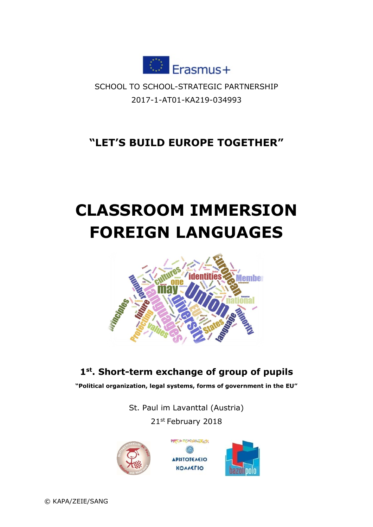

SCHOOL TO SCHOOL-STRATEGIC PARTNERSHIP 2017-1-AT01-KA219-034993

## **"LET'S BUILD EUROPE TOGETHER"**

# **CLASSROOM IMMERSION FOREIGN LANGUAGES**



### **1 st. Short-term exchange of group of pupils**

**"Political organization, legal systems, forms of government in the EU"**

St. Paul im Lavanttal (Austria)

21st February 2018

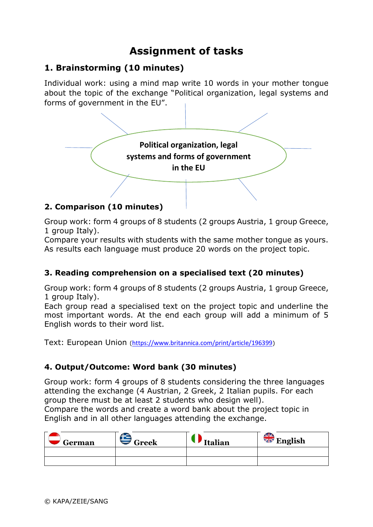## **Assignment of tasks**

#### **1. Brainstorming (10 minutes)**

Individual work: using a mind map write 10 words in your mother tongue about the topic of the exchange "Political organization, legal systems and forms of government in the EU".



Group work: form 4 groups of 8 students (2 groups Austria, 1 group Greece, 1 group Italy).

Compare your results with students with the same mother tongue as yours. As results each language must produce 20 words on the project topic.

#### **3. Reading comprehension on a specialised text (20 minutes)**

Group work: form 4 groups of 8 students (2 groups Austria, 1 group Greece, 1 group Italy).

Each group read a specialised text on the project topic and underline the most important words. At the end each group will add a minimum of 5 English words to their word list.

Text: European Union (<https://www.britannica.com/print/article/196399>)

#### **4. Output/Outcome: Word bank (30 minutes)**

Group work: form 4 groups of 8 students considering the three languages attending the exchange (4 Austrian, 2 Greek, 2 Italian pupils. For each group there must be at least 2 students who design well).

Compare the words and create a word bank about the project topic in English and in all other languages attending the exchange.

| German | Greek | <b>Italian</b> | <b>WE</b> English |
|--------|-------|----------------|-------------------|
|        |       |                |                   |
|        |       |                |                   |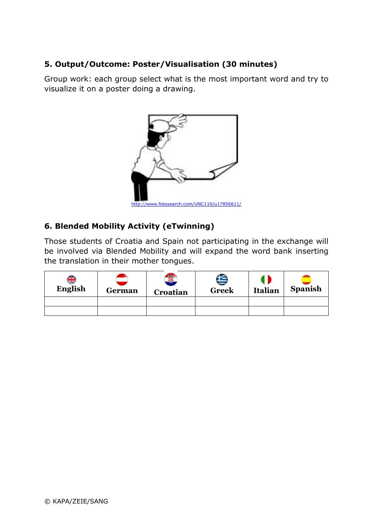#### **5. Output/Outcome: Poster/Visualisation (30 minutes)**

Group work: each group select what is the most important word and try to visualize it on a poster doing a drawing.



#### **6. Blended Mobility Activity (eTwinning)**

Those students of Croatia and Spain not participating in the exchange will be involved via Blended Mobility and will expand the word bank inserting the translation in their mother tongues.

| <b>AIA</b><br>ZIN<br><b>English</b> | German | Ş<br>Croatian | <b>Greek</b> | <b>Italian</b> | <b>Spanish</b> |
|-------------------------------------|--------|---------------|--------------|----------------|----------------|
|                                     |        |               |              |                |                |
|                                     |        |               |              |                |                |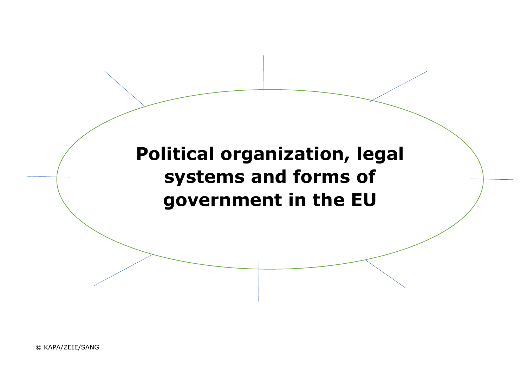**Political organization, legal systems and forms of government in the EU**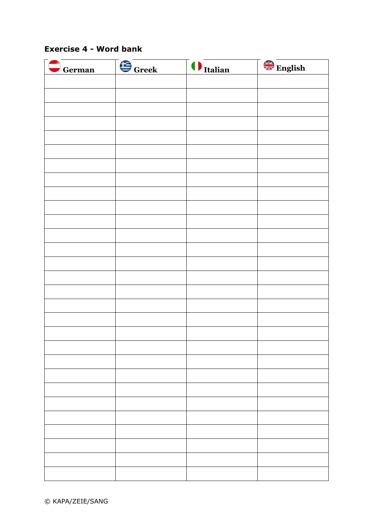#### **Exercise 4 - Word bank**

| German | $\bigoplus$ Greek | <i><u><b>O</b>Italian</u></i> | English |
|--------|-------------------|-------------------------------|---------|
|        |                   |                               |         |
|        |                   |                               |         |
|        |                   |                               |         |
|        |                   |                               |         |
|        |                   |                               |         |
|        |                   |                               |         |
|        |                   |                               |         |
|        |                   |                               |         |
|        |                   |                               |         |
|        |                   |                               |         |
|        |                   |                               |         |
|        |                   |                               |         |
|        |                   |                               |         |
|        |                   |                               |         |
|        |                   |                               |         |
|        |                   |                               |         |
|        |                   |                               |         |
|        |                   |                               |         |
|        |                   |                               |         |
|        |                   |                               |         |
|        |                   |                               |         |
|        |                   |                               |         |
|        |                   |                               |         |
|        |                   |                               |         |
|        |                   |                               |         |
|        |                   |                               |         |
|        |                   |                               |         |
|        |                   |                               |         |
|        |                   |                               |         |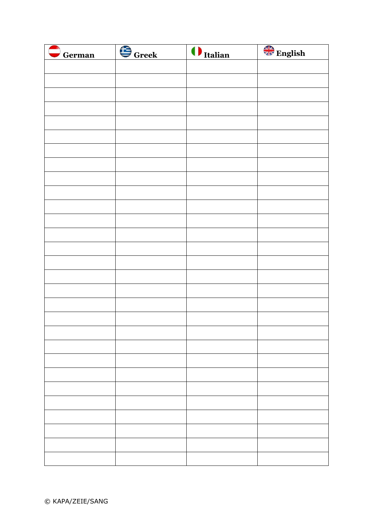| $\bigcirc$ German | G <sub>Greek</sub> | <i><u><b>Italian</b></u></i> | English |
|-------------------|--------------------|------------------------------|---------|
|                   |                    |                              |         |
|                   |                    |                              |         |
|                   |                    |                              |         |
|                   |                    |                              |         |
|                   |                    |                              |         |
|                   |                    |                              |         |
|                   |                    |                              |         |
|                   |                    |                              |         |
|                   |                    |                              |         |
|                   |                    |                              |         |
|                   |                    |                              |         |
|                   |                    |                              |         |
|                   |                    |                              |         |
|                   |                    |                              |         |
|                   |                    |                              |         |
|                   |                    |                              |         |
|                   |                    |                              |         |
|                   |                    |                              |         |
|                   |                    |                              |         |
|                   |                    |                              |         |
|                   |                    |                              |         |
|                   |                    |                              |         |
|                   |                    |                              |         |
|                   |                    |                              |         |
|                   |                    |                              |         |
|                   |                    |                              |         |
|                   |                    |                              |         |
|                   |                    |                              |         |
|                   |                    |                              |         |